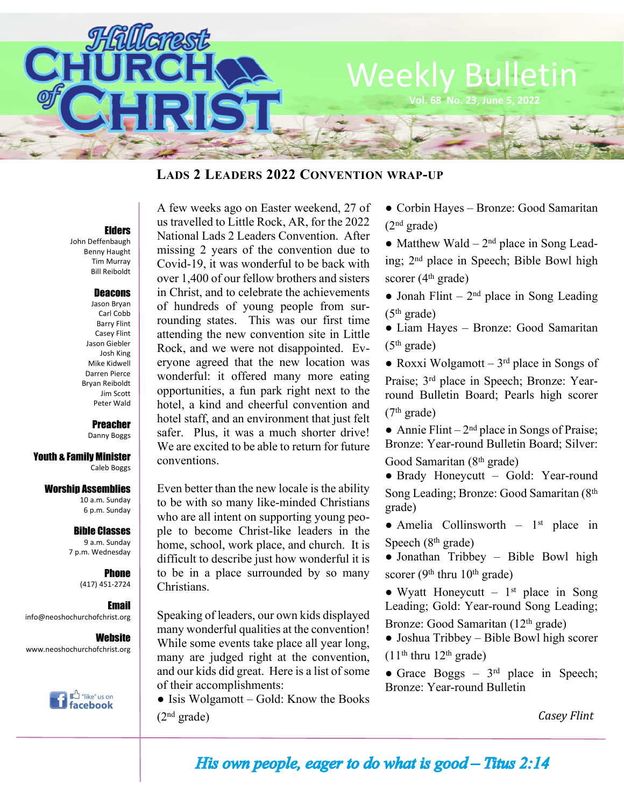

## **LADS 2 LEADERS 2022 CONVENTION WRAP-UP**

### Elders

John Deffenbaugh Benny Haught Tim Murray Bill Reiboldt

### Deacons

Jason Bryan Carl Cobb Barry Flint Casey Flint Jason Giebler Josh King Mike Kidwell Darren Pierce Bryan Reiboldt Jim Scott Peter Wald

Preacher

Danny Boggs

Youth & Family Minister Caleb Boggs

#### Worship Assemblies

10 a.m. Sunday 6 p.m. Sunday

Bible Classes

9 a.m. Sunday 7 p.m. Wednesday

> **Phone** (417) 451-2724

Email info@neoshochurchofchrist.org

**Website** www.neoshochurchofchrist.org



A few weeks ago on Easter weekend, 27 of us travelled to Little Rock, AR, for the 2022 National Lads 2 Leaders Convention. After missing 2 years of the convention due to Covid-19, it was wonderful to be back with over 1,400 of our fellow brothers and sisters in Christ, and to celebrate the achievements of hundreds of young people from surrounding states. This was our first time attending the new convention site in Little Rock, and we were not disappointed. Everyone agreed that the new location was wonderful: it offered many more eating opportunities, a fun park right next to the hotel, a kind and cheerful convention and hotel staff, and an environment that just felt safer. Plus, it was a much shorter drive! We are excited to be able to return for future conventions.

Even better than the new locale is the ability to be with so many like-minded Christians who are all intent on supporting young people to become Christ-like leaders in the home, school, work place, and church. It is difficult to describe just how wonderful it is to be in a place surrounded by so many Christians.

Speaking of leaders, our own kids displayed many wonderful qualities at the convention! While some events take place all year long, many are judged right at the convention, and our kids did great. Here is a list of some of their accomplishments:

• Isis Wolgamott – Gold: Know the Books  $(2<sup>nd</sup> grade)$ 

● Corbin Hayes – Bronze: Good Samaritan  $(2<sup>nd</sup> grade)$ 

• Matthew Wald  $-2<sup>nd</sup>$  place in Song Leading; 2nd place in Speech; Bible Bowl high scorer (4<sup>th</sup> grade)

• Jonah Flint –  $2<sup>nd</sup>$  place in Song Leading  $(5<sup>th</sup> grade)$ 

● Liam Hayes – Bronze: Good Samaritan  $(5<sup>th</sup> grade)$ 

• Roxxi Wolgamott –  $3<sup>rd</sup>$  place in Songs of Praise; 3rd place in Speech; Bronze: Yearround Bulletin Board; Pearls high scorer (7th grade)

• Annie Flint –  $2<sup>nd</sup>$  place in Songs of Praise; Bronze: Year-round Bulletin Board; Silver: Good Samaritan (8th grade)

● Brady Honeycutt – Gold: Year-round Song Leading; Bronze: Good Samaritan (8th grade)

 $\bullet$  Amelia Collinsworth – 1<sup>st</sup> place in Speech  $(8<sup>th</sup> \text{ grade})$ 

● Jonathan Tribbey – Bible Bowl high scorer (9<sup>th</sup> thru  $10^{th}$  grade)

• Wyatt Honeycutt  $-1$ <sup>st</sup> place in Song Leading; Gold: Year-round Song Leading;

Bronze: Good Samaritan (12<sup>th</sup> grade)

● Joshua Tribbey – Bible Bowl high scorer  $(11<sup>th</sup>$  thru  $12<sup>th</sup>$  grade)

*●* Grace Boggs – 3rd place in Speech; Bronze: Year-round Bulletin

*Casey Flint*

His own people, eager to do what is  $good$ -Titus 2:14